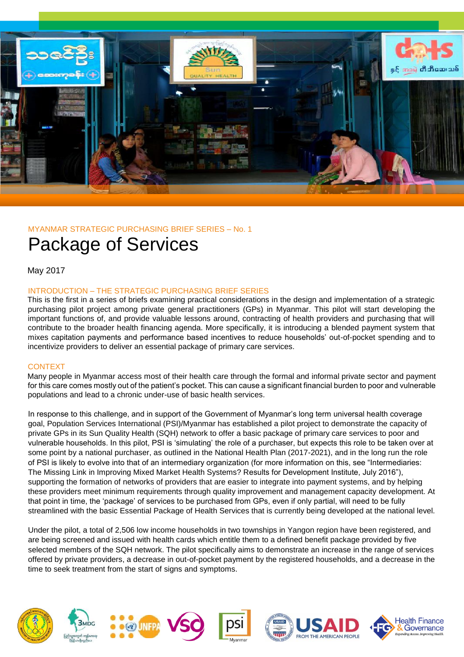

## MYANMAR STRATEGIC PURCHASING BRIEF SERIES – No. 1

# Package of Services

May 2017

## INTRODUCTION – THE STRATEGIC PURCHASING BRIEF SERIES

This is the first in a series of briefs examining practical considerations in the design and implementation of a strategic purchasing pilot project among private general practitioners (GPs) in Myanmar. This pilot will start developing the important functions of, and provide valuable lessons around, contracting of health providers and purchasing that will contribute to the broader health financing agenda. More specifically, it is introducing a blended payment system that mixes capitation payments and performance based incentives to reduce households' out-of-pocket spending and to incentivize providers to deliver an essential package of primary care services.

## **CONTEXT**

Many people in Myanmar access most of their health care through the formal and informal private sector and payment for this care comes mostly out of the patient's pocket. This can cause a significant financial burden to poor and vulnerable populations and lead to a chronic under-use of basic health services.

In response to this challenge, and in support of the Government of Myanmar's long term universal health coverage goal, Population Services International (PSI)/Myanmar has established a pilot project to demonstrate the capacity of private GPs in its Sun Quality Health (SQH) network to offer a basic package of primary care services to poor and vulnerable households. In this pilot, PSI is 'simulating' the role of a purchaser, but expects this role to be taken over at some point by a national purchaser, as outlined in the National Health Plan (2017-2021), and in the long run the role of PSI is likely to evolve into that of an intermediary organization (for more information on this, see "Intermediaries: The Missing Link in Improving Mixed Market Health Systems? Results for Development Institute, July 2016"), supporting the formation of networks of providers that are easier to integrate into payment systems, and by helping these providers meet minimum requirements through quality improvement and management capacity development. At that point in time, the 'package' of services to be purchased from GPs, even if only partial, will need to be fully streamlined with the basic Essential Package of Health Services that is currently being developed at the national level.

Under the pilot, a total of 2,506 low income households in two townships in Yangon region have been registered, and are being screened and issued with health cards which entitle them to a defined benefit package provided by five selected members of the SQH network. The pilot specifically aims to demonstrate an increase in the range of services offered by private providers, a decrease in out-of-pocket payment by the registered households, and a decrease in the time to seek treatment from the start of signs and symptoms.











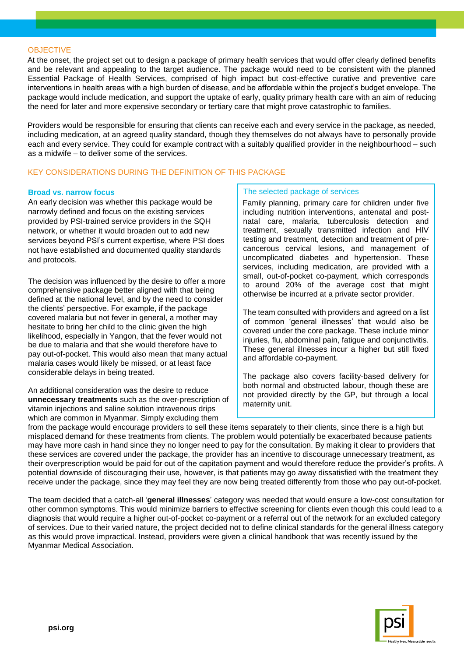#### **OBJECTIVE**

At the onset, the project set out to design a package of primary health services that would offer clearly defined benefits and be relevant and appealing to the target audience. The package would need to be consistent with the planned Essential Package of Health Services, comprised of high impact but cost-effective curative and preventive care interventions in health areas with a high burden of disease, and be affordable within the project's budget envelope. The package would include medication, and support the uptake of early, quality primary health care with an aim of reducing the need for later and more expensive secondary or tertiary care that might prove catastrophic to families.

Providers would be responsible for ensuring that clients can receive each and every service in the package, as needed, including medication, at an agreed quality standard, though they themselves do not always have to personally provide each and every service. They could for example contract with a suitably qualified provider in the neighbourhood – such as a midwife – to deliver some of the services.

## KEY CONSIDERATIONS DURING THE DEFINITION OF THIS PACKAGE

#### **Broad vs. narrow focus**

An early decision was whether this package would be narrowly defined and focus on the existing services provided by PSI-trained service providers in the SQH network, or whether it would broaden out to add new services beyond PSI's current expertise, where PSI does not have established and documented quality standards and protocols.

The decision was influenced by the desire to offer a more comprehensive package better aligned with that being defined at the national level, and by the need to consider the clients' perspective. For example, if the package covered malaria but not fever in general, a mother may hesitate to bring her child to the clinic given the high likelihood, especially in Yangon, that the fever would not be due to malaria and that she would therefore have to pay out-of-pocket. This would also mean that many actual malaria cases would likely be missed, or at least face considerable delays in being treated.

An additional consideration was the desire to reduce **unnecessary treatments** such as the over-prescription of vitamin injections and saline solution intravenous drips which are common in Myanmar. Simply excluding them

#### The selected package of services

Family planning, primary care for children under five including nutrition interventions, antenatal and postnatal care, malaria, tuberculosis detection and treatment, sexually transmitted infection and HIV testing and treatment, detection and treatment of precancerous cervical lesions, and management of uncomplicated diabetes and hypertension. These services, including medication, are provided with a small, out-of-pocket co-payment, which corresponds to around 20% of the average cost that might otherwise be incurred at a private sector provider.

The team consulted with providers and agreed on a list of common 'general illnesses' that would also be covered under the core package. These include minor injuries, flu, abdominal pain, fatigue and conjunctivitis. These general illnesses incur a higher but still fixed and affordable co-payment.

The package also covers facility-based delivery for both normal and obstructed labour, though these are not provided directly by the GP, but through a local maternity unit.

from the package would encourage providers to sell these items separately to their clients, since there is a high but misplaced demand for these treatments from clients. The problem would potentially be exacerbated because patients may have more cash in hand since they no longer need to pay for the consultation. By making it clear to providers that these services are covered under the package, the provider has an incentive to discourage unnecessary treatment, as their overprescription would be paid for out of the capitation payment and would therefore reduce the provider's profits. A potential downside of discouraging their use, however, is that patients may go away dissatisfied with the treatment they receive under the package, since they may feel they are now being treated differently from those who pay out-of-pocket.

The team decided that a catch-all '**general illnesses**' category was needed that would ensure a low-cost consultation for other common symptoms. This would minimize barriers to effective screening for clients even though this could lead to a diagnosis that would require a higher out-of-pocket co-payment or a referral out of the network for an excluded category of services. Due to their varied nature, the project decided not to define clinical standards for the general illness category as this would prove impractical. Instead, providers were given a clinical handbook that was recently issued by the Myanmar Medical Association.

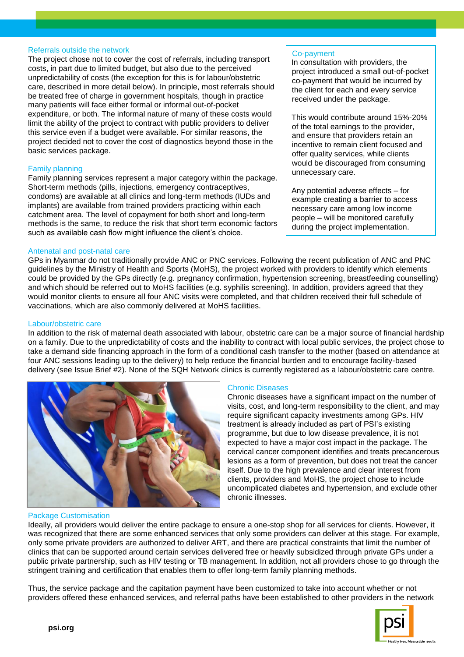#### Referrals outside the network

The project chose not to cover the cost of referrals, including transport costs, in part due to limited budget, but also due to the perceived unpredictability of costs (the exception for this is for labour/obstetric care, described in more detail below). In principle, most referrals should be treated free of charge in government hospitals, though in practice many patients will face either formal or informal out-of-pocket expenditure, or both. The informal nature of many of these costs would limit the ability of the project to contract with public providers to deliver this service even if a budget were available. For similar reasons, the project decided not to cover the cost of diagnostics beyond those in the basic services package.

## Family planning

Family planning services represent a major category within the package. Short-term methods (pills, injections, emergency contraceptives, condoms) are available at all clinics and long-term methods (IUDs and implants) are available from trained providers practicing within each catchment area. The level of copayment for both short and long-term methods is the same, to reduce the risk that short term economic factors such as available cash flow might influence the client's choice.

#### Antenatal and post-natal care

GPs in Myanmar do not traditionally provide ANC or PNC services. Following the recent publication of ANC and PNC guidelines by the Ministry of Health and Sports (MoHS), the project worked with providers to identify which elements could be provided by the GPs directly (e.g. pregnancy confirmation, hypertension screening, breastfeeding counselling) and which should be referred out to MoHS facilities (e.g. syphilis screening). In addition, providers agreed that they would monitor clients to ensure all four ANC visits were completed, and that children received their full schedule of vaccinations, which are also commonly delivered at MoHS facilities.

#### Labour/obstetric care

In addition to the risk of maternal death associated with labour, obstetric care can be a major source of financial hardship on a family. Due to the unpredictability of costs and the inability to contract with local public services, the project chose to take a demand side financing approach in the form of a conditional cash transfer to the mother (based on attendance at four ANC sessions leading up to the delivery) to help reduce the financial burden and to encourage facility-based delivery (see Issue Brief #2). None of the SQH Network clinics is currently registered as a labour/obstetric care centre.



## Package Customisation

## Chronic Diseases

Chronic diseases have a significant impact on the number of visits, cost, and long-term responsibility to the client, and may require significant capacity investments among GPs. HIV treatment is already included as part of PSI's existing programme, but due to low disease prevalence, it is not expected to have a major cost impact in the package. The cervical cancer component identifies and treats precancerous lesions as a form of prevention, but does not treat the cancer itself. Due to the high prevalence and clear interest from clients, providers and MoHS, the project chose to include uncomplicated diabetes and hypertension, and exclude other chronic illnesses.

Co-payment

In consultation with providers, the project introduced a small out-of-pocket co-payment that would be incurred by the client for each and every service

This would contribute around 15%-20% of the total earnings to the provider, and ensure that providers retain an incentive to remain client focused and offer quality services, while clients would be discouraged from consuming

Any potential adverse effects – for example creating a barrier to access necessary care among low income people – will be monitored carefully during the project implementation.

received under the package.

unnecessary care.

Ideally, all providers would deliver the entire package to ensure a one-stop shop for all services for clients. However, it was recognized that there are some enhanced services that only some providers can deliver at this stage. For example, only some private providers are authorized to deliver ART, and there are practical constraints that limit the number of clinics that can be supported around certain services delivered free or heavily subsidized through private GPs under a public private partnership, such as HIV testing or TB management. In addition, not all providers chose to go through the stringent training and certification that enables them to offer long-term family planning methods.

Thus, the service package and the capitation payment have been customized to take into account whether or not providers offered these enhanced services, and referral paths have been established to other providers in the network

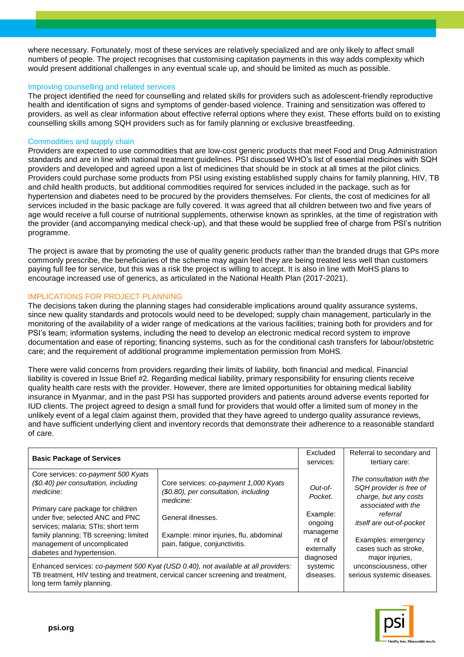where necessary. Fortunately, most of these services are relatively specialized and are only likely to affect small numbers of people. The project recognises that customising capitation payments in this way adds complexity which would present additional challenges in any eventual scale up, and should be limited as much as possible.

#### Improving counselling and related services

The project identified the need for counselling and related skills for providers such as adolescent-friendly reproductive health and identification of signs and symptoms of gender-based violence. Training and sensitization was offered to providers, as well as clear information about effective referral options where they exist. These efforts build on to existing counselling skills among SQH providers such as for family planning or exclusive breastfeeding.

#### Commodities and supply chain

Providers are expected to use commodities that are low-cost generic products that meet Food and Drug Administration standards and are in line with national treatment guidelines. PSI discussed WHO's list of essential medicines with SQH providers and developed and agreed upon a list of medicines that should be in stock at all times at the pilot clinics. Providers could purchase some products from PSI using existing established supply chains for family planning, HIV, TB and child health products, but additional commodities required for services included in the package, such as for hypertension and diabetes need to be procured by the providers themselves. For clients, the cost of medicines for all services included in the basic package are fully covered. It was agreed that all children between two and five years of age would receive a full course of nutritional supplements, otherwise known as sprinkles, at the time of registration with the provider (and accompanying medical check-up), and that these would be supplied free of charge from PSI's nutrition programme.

The project is aware that by promoting the use of quality generic products rather than the branded drugs that GPs more commonly prescribe, the beneficiaries of the scheme may again feel they are being treated less well than customers paying full fee for service, but this was a risk the project is willing to accept. It is also in line with MoHS plans to encourage increased use of generics, as articulated in the National Health Plan (2017-2021).

## IMPLICATIONS FOR PROJECT PLANNING

The decisions taken during the planning stages had considerable implications around quality assurance systems, since new quality standards and protocols would need to be developed; supply chain management, particularly in the monitoring of the availability of a wider range of medications at the various facilities; training both for providers and for PSI's team; information systems, including the need to develop an electronic medical record system to improve documentation and ease of reporting; financing systems, such as for the conditional cash transfers for labour/obstetric care; and the requirement of additional programme implementation permission from MoHS.

There were valid concerns from providers regarding their limits of liability, both financial and medical. Financial liability is covered in Issue Brief #2. Regarding medical liability, primary responsibility for ensuring clients receive quality health care rests with the provider. However, there are limited opportunities for obtaining medical liability insurance in Myanmar, and in the past PSI has supported providers and patients around adverse events reported for IUD clients. The project agreed to design a small fund for providers that would offer a limited sum of money in the unlikely event of a legal claim against them, provided that they have agreed to undergo quality assurance reviews, and have sufficient underlying client and inventory records that demonstrate their adherence to a reasonable standard of care.

| <b>Basic Package of Services</b>                                                                                                                                                                                    |                                                                                                 | Excluded<br>services:                                  | Referral to secondary and<br>tertiary care:                                                                                                                                                         |
|---------------------------------------------------------------------------------------------------------------------------------------------------------------------------------------------------------------------|-------------------------------------------------------------------------------------------------|--------------------------------------------------------|-----------------------------------------------------------------------------------------------------------------------------------------------------------------------------------------------------|
| Core services: co-payment 500 Kyats<br>(\$0.40) per consultation, including<br>medicine:                                                                                                                            | Core services: co-payment 1,000 Kyats<br>(\$0.80), per consultation, including<br>medicine:     | Out-of-<br>Pocket.                                     | The consultation with the<br>SQH provider is free of<br>charge, but any costs<br>associated with the<br>referral<br><i>itself are out-of-pocket</i><br>Examples: emergency<br>cases such as stroke, |
| Primary care package for children<br>under five: selected ANC and PNC<br>services; malaria; STIs; short term<br>family planning; TB screening; limited<br>management of uncomplicated<br>diabetes and hypertension. | General illnesses.<br>Example: minor injuries, flu, abdominal<br>pain, fatigue, conjunctivitis. | Example:<br>ongoing<br>manageme<br>nt of<br>externally |                                                                                                                                                                                                     |
| Enhanced services: co-payment 500 Kyat (USD 0.40), not available at all providers:<br>TB treatment, HIV testing and treatment, cervical cancer screening and treatment,<br>long term family planning.               |                                                                                                 | diagnosed<br>systemic<br>diseases.                     | major injuries,<br>unconsciousness, other<br>serious systemic diseases.                                                                                                                             |